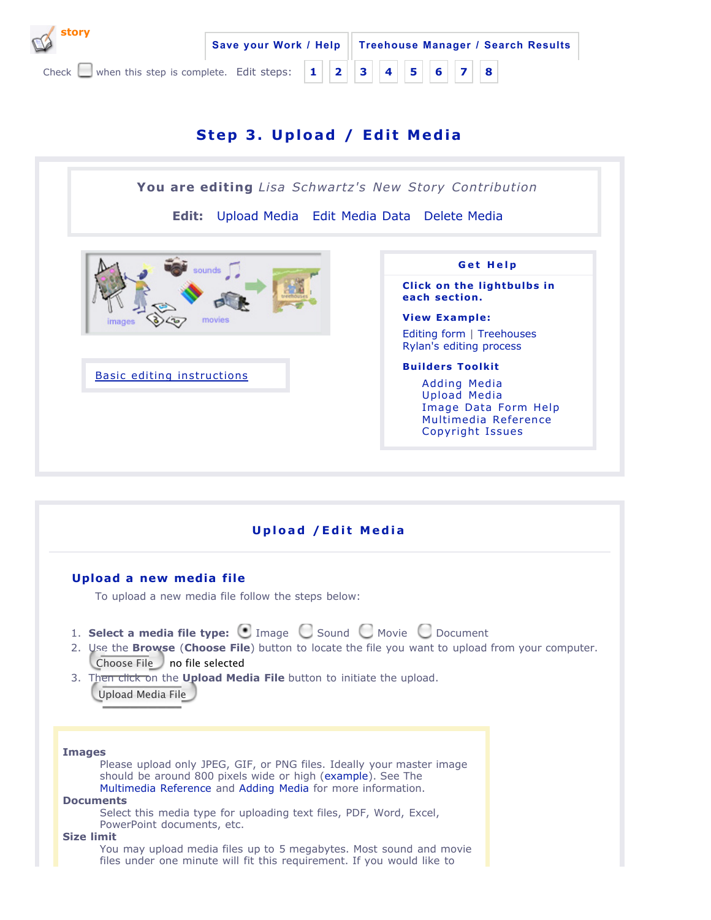

| <b>Upload / Edit Media</b>                                                                                                                                                                                                                                                                                                                           |  |
|------------------------------------------------------------------------------------------------------------------------------------------------------------------------------------------------------------------------------------------------------------------------------------------------------------------------------------------------------|--|
| Upload a new media file                                                                                                                                                                                                                                                                                                                              |  |
| To upload a new media file follow the steps below:                                                                                                                                                                                                                                                                                                   |  |
| 1. Select a media file type: $\bigcirc$ Image $\bigcirc$ Sound $\bigcirc$ Movie $\bigcirc$ Document<br>2. Use the <b>Browse (Choose File</b> ) button to locate the file you want to upload from your computer.<br>Choose File no file selected<br>3. Then click on the <b>Upload Media File</b> button to initiate the upload.<br>Upload Media File |  |
| <b>Images</b><br>Please upload only JPEG, GIF, or PNG files. Ideally your master image<br>should be around 800 pixels wide or high (example). See The<br>Multimedia Reference and Adding Media for more information.<br><b>Documents</b>                                                                                                             |  |
| Select this media type for uploading text files, PDF, Word, Excel,<br>PowerPoint documents, etc.                                                                                                                                                                                                                                                     |  |
| <b>Size limit</b><br>You may upload media files up to 5 megabytes. Most sound and movie<br>files under one minute will fit this requirement. If you would like to                                                                                                                                                                                    |  |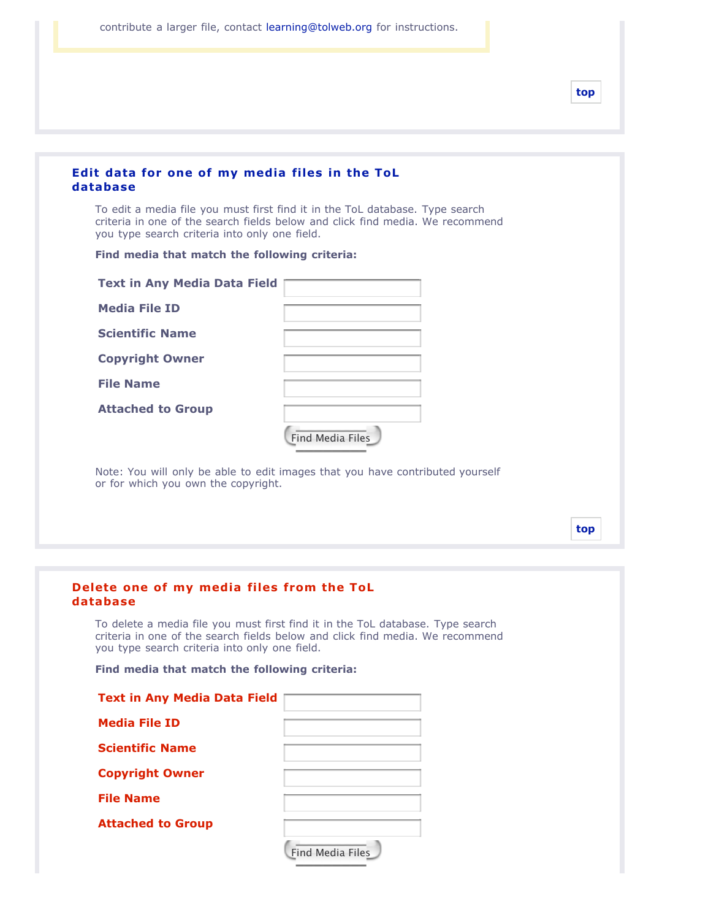|                                                | contribute a larger file, contact learning@tolweb.org for instructions.                                                                                       |
|------------------------------------------------|---------------------------------------------------------------------------------------------------------------------------------------------------------------|
|                                                | top                                                                                                                                                           |
| Edit data for one of my media files in the ToL |                                                                                                                                                               |
| database                                       |                                                                                                                                                               |
| you type search criteria into only one field.  | To edit a media file you must first find it in the ToL database. Type search<br>criteria in one of the search fields below and click find media. We recommend |
| Find media that match the following criteria:  |                                                                                                                                                               |
| <b>Text in Any Media Data Field</b>            |                                                                                                                                                               |
| <b>Media File ID</b>                           |                                                                                                                                                               |
| <b>Scientific Name</b>                         |                                                                                                                                                               |
| <b>Copyright Owner</b>                         |                                                                                                                                                               |
| <b>File Name</b>                               |                                                                                                                                                               |
| <b>Attached to Group</b>                       | Find Media Files                                                                                                                                              |
| or for which you own the copyright.            | Note: You will only be able to edit images that you have contributed yourself                                                                                 |
|                                                |                                                                                                                                                               |

| you type search criteria into only one field. | To delete a media file you must first find it in the ToL database. Type search<br>criteria in one of the search fields below and click find media. We recommend |
|-----------------------------------------------|-----------------------------------------------------------------------------------------------------------------------------------------------------------------|
| Find media that match the following criteria: |                                                                                                                                                                 |
| <b>Text in Any Media Data Field</b>           |                                                                                                                                                                 |
| <b>Media File ID</b>                          |                                                                                                                                                                 |
| <b>Scientific Name</b>                        |                                                                                                                                                                 |
| <b>Copyright Owner</b>                        |                                                                                                                                                                 |
| <b>File Name</b>                              |                                                                                                                                                                 |
|                                               |                                                                                                                                                                 |